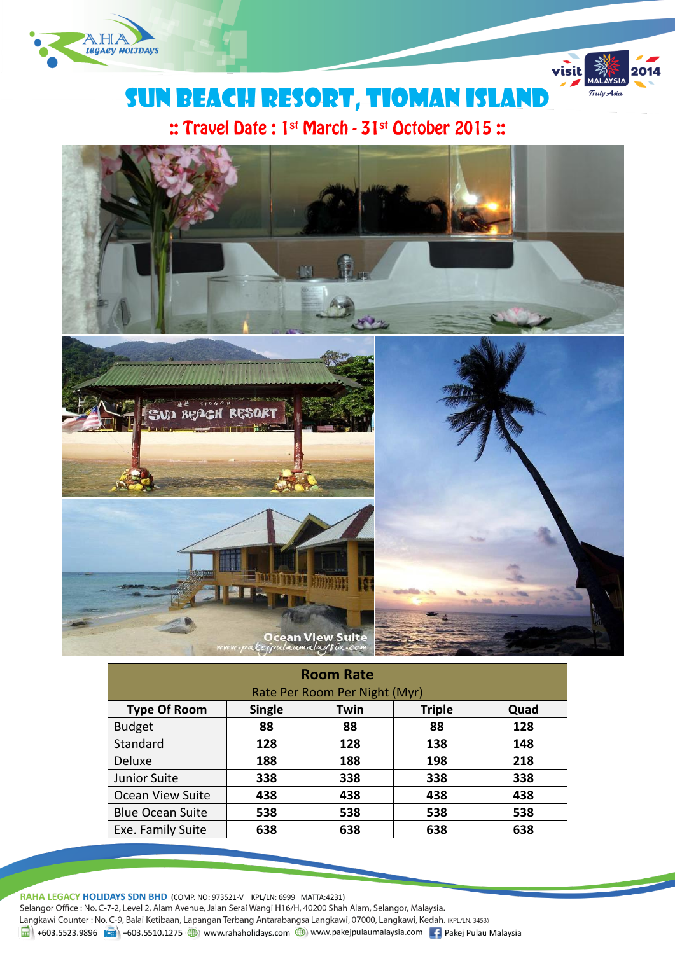



visit

Truly Asia

:: Travel Date: 1st March - 31st October 2015:



| <b>Room Rate</b>              |               |      |               |      |  |
|-------------------------------|---------------|------|---------------|------|--|
| Rate Per Room Per Night (Myr) |               |      |               |      |  |
| <b>Type Of Room</b>           | <b>Single</b> | Twin | <b>Triple</b> | Quad |  |
| <b>Budget</b>                 | 88            | 88   | 88            | 128  |  |
| Standard                      | 128           | 128  | 138           | 148  |  |
| Deluxe                        | 188           | 188  | 198           | 218  |  |
| Junior Suite                  | 338           | 338  | 338           | 338  |  |
| <b>Ocean View Suite</b>       | 438           | 438  | 438           | 438  |  |
| <b>Blue Ocean Suite</b>       | 538           | 538  | 538           | 538  |  |
| Exe. Family Suite             | 638           | 638  | 638           | 638  |  |

RAHA LEGACY HOLIDAYS SDN BHD (COMP. NO: 973521-V KPL/LN: 6999 MATTA:4231) Selangor Office : No. C-7-2, Level 2, Alam Avenue, Jalan Serai Wangi H16/H, 40200 Shah Alam, Selangor, Malaysia. Langkawi Counter: No. C-9, Balai Ketibaan, Lapangan Terbang Antarabangsa Langkawi, 07000, Langkawi, Kedah. (KPL/LN: 3453) 1 +603.5523.9896 +603.5510.1275 (b) www.rahaholidays.com (b) www.pakejpulaumalaysia.com + Pakej Pulau Malaysia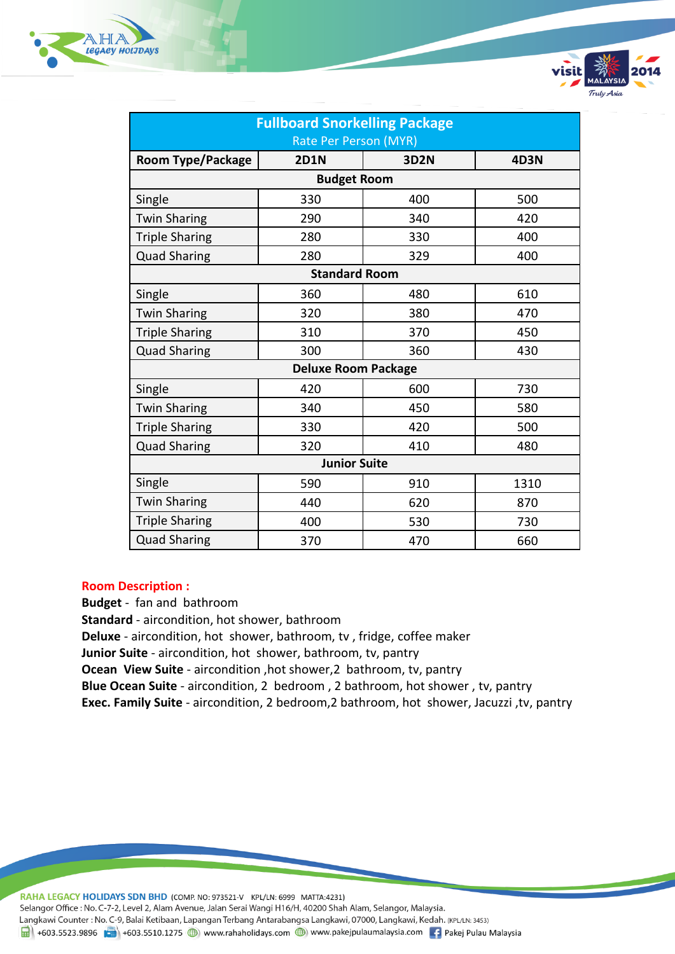

| <b>Fullboard Snorkelling Package</b> |                    |             |             |  |
|--------------------------------------|--------------------|-------------|-------------|--|
| Rate Per Person (MYR)                |                    |             |             |  |
| <b>Room Type/Package</b>             | <b>2D1N</b>        | <b>3D2N</b> | <b>4D3N</b> |  |
|                                      | <b>Budget Room</b> |             |             |  |
| Single                               | 330                | 400         | 500         |  |
| <b>Twin Sharing</b>                  | 290                | 340         | 420         |  |
| <b>Triple Sharing</b>                | 280                | 330         | 400         |  |
| <b>Quad Sharing</b>                  | 280                | 329         | 400         |  |
| <b>Standard Room</b>                 |                    |             |             |  |
| Single                               | 360                | 480         | 610         |  |
| <b>Twin Sharing</b>                  | 320                | 380         | 470         |  |
| <b>Triple Sharing</b>                | 310                | 370         | 450         |  |
| <b>Quad Sharing</b>                  | 300                | 360         | 430         |  |
| <b>Deluxe Room Package</b>           |                    |             |             |  |
| Single                               | 420                | 600         | 730         |  |
| <b>Twin Sharing</b>                  | 340                | 450         | 580         |  |
| <b>Triple Sharing</b>                | 330                | 420         | 500         |  |
| <b>Quad Sharing</b>                  | 320                | 410         | 480         |  |
| <b>Junior Suite</b>                  |                    |             |             |  |
| Single                               | 590                | 910         | 1310        |  |
| <b>Twin Sharing</b>                  | 440                | 620         | 870         |  |
| <b>Triple Sharing</b>                | 400                | 530         | 730         |  |
| <b>Quad Sharing</b>                  | 370                | 470         | 660         |  |

Fulv Asia

## **Room Description :**

**Budget** - fan and bathroom **Standard** - aircondition, hot shower, bathroom **Deluxe** - aircondition, hot shower, bathroom, tv , fridge, coffee maker **Junior Suite** - aircondition, hot shower, bathroom, tv, pantry **Ocean View Suite** - aircondition ,hot shower,2 bathroom, tv, pantry **Blue Ocean Suite** - aircondition, 2 bedroom , 2 bathroom, hot shower , tv, pantry

**Exec. Family Suite** - aircondition, 2 bedroom,2 bathroom, hot shower, Jacuzzi ,tv, pantry

RAHA LEGACY HOLIDAYS SDN BHD (COMP. NO: 973521-V KPL/LN: 6999 MATTA:4231) Selangor Office : No. C-7-2, Level 2, Alam Avenue, Jalan Serai Wangi H16/H, 40200 Shah Alam, Selangor, Malaysia. Langkawi Counter : No. C-9, Balai Ketibaan, Lapangan Terbang Antarabangsa Langkawi, 07000, Langkawi, Kedah. (KPL/LN: 3453) 1988 +603.5523.9896 + +603.5510.1275 + +603.5510.1275 + +603.5510.1275 + +603.5510.1275 + +603.5510.1275 + +603.5510.1275 + +603.5510.1275 + +603.5510.1275 + +603.5510.1275 + +603.5510.1275 + +603.5510.1275 + +603.5510.127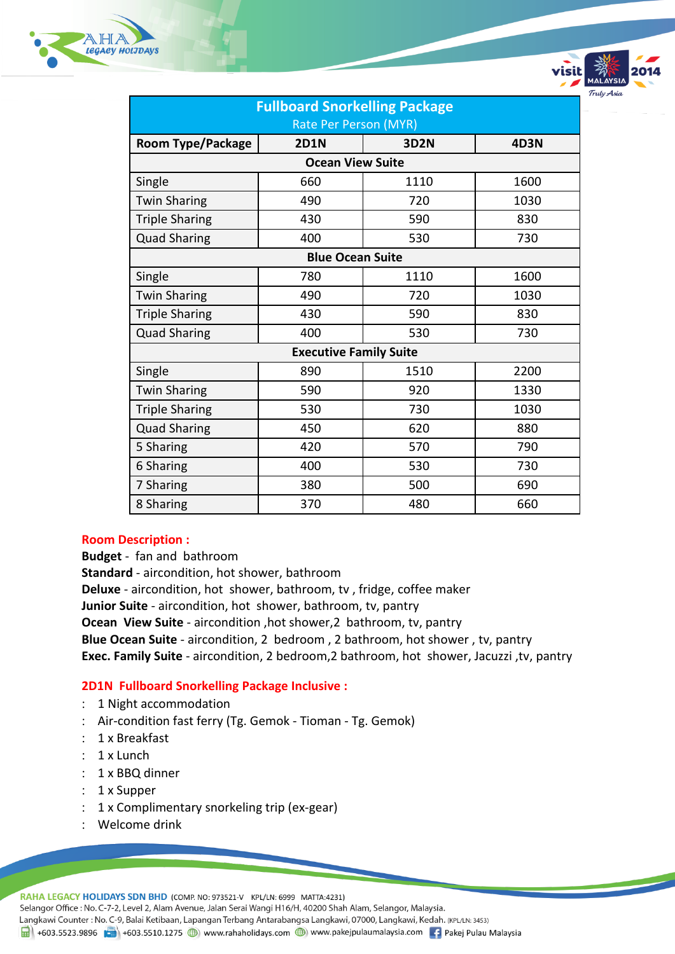



| <b>Fullboard Snorkelling Package</b> |             |      |             |  |  |
|--------------------------------------|-------------|------|-------------|--|--|
| Rate Per Person (MYR)                |             |      |             |  |  |
| <b>Room Type/Package</b>             | <b>2D1N</b> | 3D2N | <b>4D3N</b> |  |  |
| <b>Ocean View Suite</b>              |             |      |             |  |  |
| Single                               | 660         | 1110 | 1600        |  |  |
| <b>Twin Sharing</b>                  | 490         | 720  | 1030        |  |  |
| <b>Triple Sharing</b>                | 430         | 590  | 830         |  |  |
| <b>Quad Sharing</b>                  | 400         | 530  | 730         |  |  |
| <b>Blue Ocean Suite</b>              |             |      |             |  |  |
| Single                               | 780         | 1110 | 1600        |  |  |
| <b>Twin Sharing</b>                  | 490         | 720  | 1030        |  |  |
| <b>Triple Sharing</b>                | 430         | 590  | 830         |  |  |
| <b>Quad Sharing</b>                  | 400         | 530  | 730         |  |  |
| <b>Executive Family Suite</b>        |             |      |             |  |  |
| Single                               | 890         | 1510 | 2200        |  |  |
| <b>Twin Sharing</b>                  | 590         | 920  | 1330        |  |  |
| <b>Triple Sharing</b>                | 530         | 730  | 1030        |  |  |
| <b>Quad Sharing</b>                  | 450         | 620  | 880         |  |  |
| 5 Sharing                            | 420         | 570  | 790         |  |  |
| 6 Sharing                            | 400         | 530  | 730         |  |  |
| 7 Sharing                            | 380         | 500  | 690         |  |  |
| 8 Sharing                            | 370         | 480  | 660         |  |  |

### **Room Description :**

**Budget** - fan and bathroom **Standard** - aircondition, hot shower, bathroom **Deluxe** - aircondition, hot shower, bathroom, tv , fridge, coffee maker **Junior Suite** - aircondition, hot shower, bathroom, tv, pantry **Ocean View Suite** - aircondition ,hot shower,2 bathroom, tv, pantry **Blue Ocean Suite** - aircondition, 2 bedroom , 2 bathroom, hot shower , tv, pantry **Exec. Family Suite** - aircondition, 2 bedroom,2 bathroom, hot shower, Jacuzzi ,tv, pantry

# **2D1N Fullboard Snorkelling Package Inclusive :**

- 1 Night accommodation
- Air-condition fast ferry (Tg. Gemok Tioman Tg. Gemok)
- : 1 x Breakfast
- $: 1x$  Lunch
- : 1 x BBQ dinner
- : 1 x Supper
- 1 x Complimentary snorkeling trip (ex-gear)
- Welcome drink

RAHA LEGACY HOLIDAYS SDN BHD (COMP. NO: 973521-V KPL/LN: 6999 MATTA:4231)

Selangor Office : No. C-7-2, Level 2, Alam Avenue, Jalan Serai Wangi H16/H, 40200 Shah Alam, Selangor, Malaysia.

Langkawi Counter: No. C-9, Balai Ketibaan, Lapangan Terbang Antarabangsa Langkawi, 07000, Langkawi, Kedah. (KPL/LN: 3453)

1988 +603.5523.9896 + +603.5510.1275 + +603.5510.1275 + +603.5510.1275 + +603.5510.1275 + +603.5510.1275 + +603.5510.1275 + +603.5510.1275 + +603.5510.1275 + +603.5510.1275 + +603.5510.1275 + +603.5510.1275 + +603.5510.127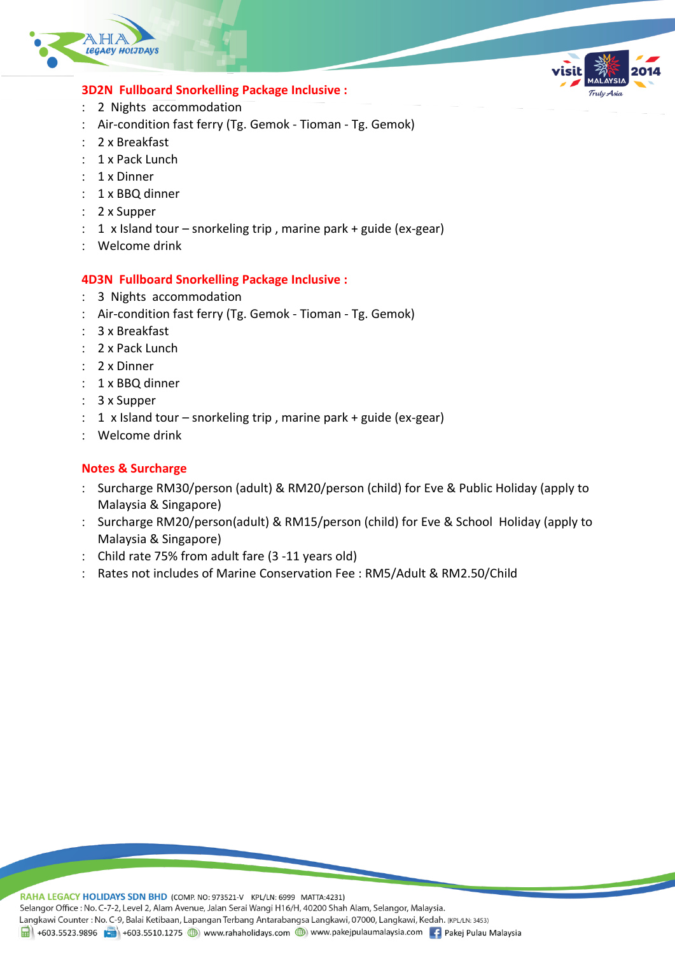



- 2 Nights accommodation
- Air-condition fast ferry (Tg. Gemok Tioman Tg. Gemok)
- 2 x Breakfast
- : 1 x Pack Lunch
- : 1 x Dinner
- : 1 x BBQ dinner
- 2 x Supper
- 1 x Island tour snorkeling trip , marine park + guide (ex-gear)
- Welcome drink

## **4D3N Fullboard Snorkelling Package Inclusive :**

- 3 Nights accommodation
- Air-condition fast ferry (Tg. Gemok Tioman Tg. Gemok)
- 3 x Breakfast
- 2 x Pack Lunch
- 2 x Dinner
- : 1 x BBQ dinner
- 3 x Supper
- $: 1 \times$  Island tour snorkeling trip, marine park + guide (ex-gear)
- Welcome drink

# **Notes & Surcharge**

- : Surcharge RM30/person (adult) & RM20/person (child) for Eve & Public Holiday (apply to Malaysia & Singapore)
- : Surcharge RM20/person(adult) & RM15/person (child) for Eve & School Holiday (apply to Malaysia & Singapore)
- Child rate 75% from adult fare (3 -11 years old)
- Rates not includes of Marine Conservation Fee : RM5/Adult & RM2.50/Child

RAHA LEGACY HOLIDAYS SDN BHD (COMP. NO: 973521-V KPL/LN: 6999 MATTA:4231) Selangor Office : No. C-7-2, Level 2, Alam Avenue, Jalan Serai Wangi H16/H, 40200 Shah Alam, Selangor, Malaysia. Langkawi Counter: No. C-9, Balai Ketibaan, Lapangan Terbang Antarabangsa Langkawi, 07000, Langkawi, Kedah. (KPL/LN: 3453)  $\frac{1}{21}$  +603.5523.9896 + +603.5510.1275 (b) www.rahaholidays.com (b) www.pakejpulaumalaysia.com + Pakej Pulau Malaysia